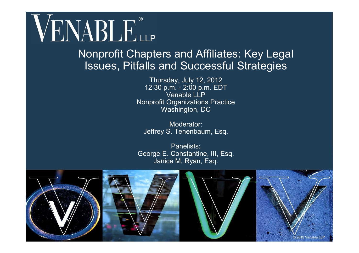# VENABLE®

#### Nonprofit Chapters and Affiliates: Key Legal Issues, Pitfalls and Successful Strategies

Thursday, July 12, 2012 12:30 p.m. - 2:00 p.m. EDT Venable LLP Nonprofit Organizations Practice Washington, DC

Moderator: Jeffrey S. Tenenbaum, Esq.

Panelists: George E. Constantine, III, Esq. Janice M. Ryan, Esq.

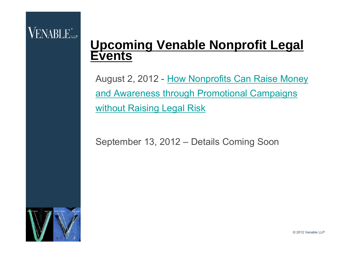#### **Upcoming Venable Nonprofit Legal Events**

August 2, 2012 - How Nonprofits Can Raise Money and Awareness through Promotional Campaigns without Raising Legal Risk

September 13, 2012 – Details Coming Soon

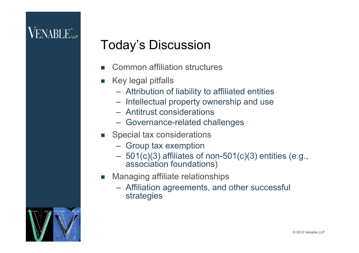# **VENABLE** <sub>LLP</sub>

#### Today's Discussion

- Common affiliation structures
- Key legal pitfalls
	- Attribution of liability to affiliated entities
	- Intellectual property ownership and use
	- Antitrust considerations
	- Governance-related challenges
- **Special tax considerations** 
	- Group tax exemption
	- $-501(c)(3)$  affiliates of non-501(c)(3) entities (e.g., association foundations)
- **Managing affiliate relationships** 
	- Affiliation agreements, and other successful strategies

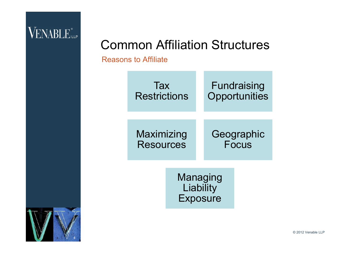#### Common Affiliation Structures

Reasons to Affiliate



Managing **Liability** Exposure

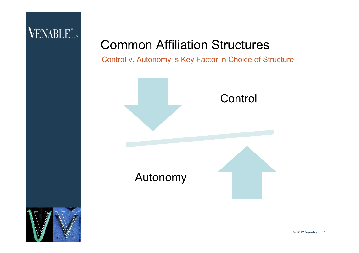#### Common Affiliation Structures

Control v. Autonomy is Key Factor in Choice of Structure



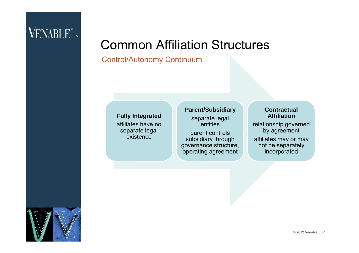#### Common Affiliation Structures

#### Control/Autonomy Continuum

#### **Fully Integrated**

affiliates have no separate legal existence

#### **Parent/Subsidiary**

separate legal entities

parent controls subsidiary through governance structure, operating agreement

#### **Contractual Affiliation**

relationship governed by agreement

affiliates may or may not be separately incorporated

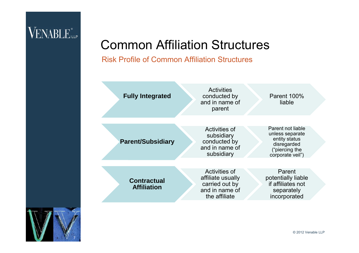#### Common Affiliation Structures

Risk Profile of Common Affiliation Structures



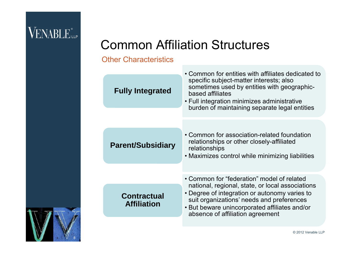#### Common Affiliation Structures

#### Other Characteristics

| <b>Fully Integrated</b>                  | • Common for entities with affiliates dedicated to<br>specific subject-matter interests; also<br>sometimes used by entities with geographic-<br>based affiliates<br>• Full integration minimizes administrative<br>burden of maintaining separate legal entities                  |
|------------------------------------------|-----------------------------------------------------------------------------------------------------------------------------------------------------------------------------------------------------------------------------------------------------------------------------------|
| <b>Parent/Subsidiary</b>                 | • Common for association-related foundation<br>relationships or other closely-affiliated<br>relationships<br>• Maximizes control while minimizing liabilities                                                                                                                     |
| <b>Contractual</b><br><b>Affiliation</b> | • Common for "federation" model of related<br>national, regional, state, or local associations<br>• Degree of integration or autonomy varies to<br>suit organizations' needs and preferences<br>• But beware unincorporated affiliates and/or<br>absence of affiliation agreement |
|                                          |                                                                                                                                                                                                                                                                                   |

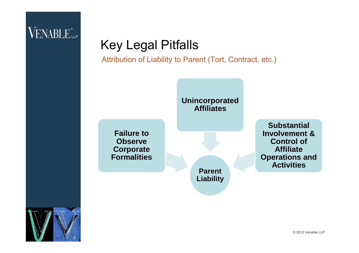## Key Legal Pitfalls

Attribution of Liability to Parent (Tort, Contract, etc.)



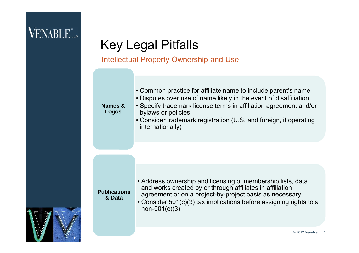10

## Key Legal Pitfalls

#### Intellectual Property Ownership and Use

| • Address ownership and licensing of membership lists, data,<br>and works created by or through affiliates in affiliation<br><b>Publications</b><br>agreement or on a project-by-project basis as necessary<br>& Data<br>• Consider 501(c)(3) tax implications before assigning rights to a<br>$non-501(c)(3)$ | Names &<br><b>Logos</b> | • Common practice for affiliate name to include parent's name<br>• Disputes over use of name likely in the event of disaffiliation<br>• Specify trademark license terms in affiliation agreement and/or<br>bylaws or policies<br>• Consider trademark registration (U.S. and foreign, if operating<br>internationally) |
|----------------------------------------------------------------------------------------------------------------------------------------------------------------------------------------------------------------------------------------------------------------------------------------------------------------|-------------------------|------------------------------------------------------------------------------------------------------------------------------------------------------------------------------------------------------------------------------------------------------------------------------------------------------------------------|
|                                                                                                                                                                                                                                                                                                                |                         | © 2012 Venable LLP                                                                                                                                                                                                                                                                                                     |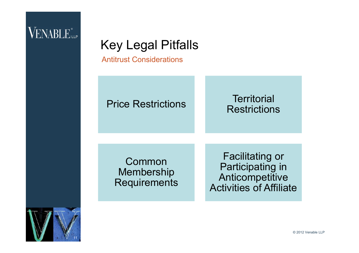### Key Legal Pitfalls

Antitrust Considerations

#### Price Restrictions Territorial

# **Restrictions**

Common Membership **Requirements** 

Facilitating or Participating in **Anticompetitive** Activities of Affiliate

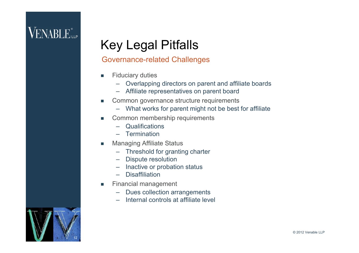### Key Legal Pitfalls

#### Governance-related Challenges

- **Fiduciary duties** 
	- Overlapping directors on parent and affiliate boards
	- Affiliate representatives on parent board
- Common governance structure requirements
	- What works for parent might not be best for affiliate
- **EXECOMMON membership requirements** 
	- Qualifications
	- Termination
- **Managing Affiliate Status** 
	- Threshold for granting charter
	- Dispute resolution
	- Inactive or probation status
	- Disaffiliation
- **Financial management** 
	- Dues collection arrangements
	- Internal controls at affiliate level

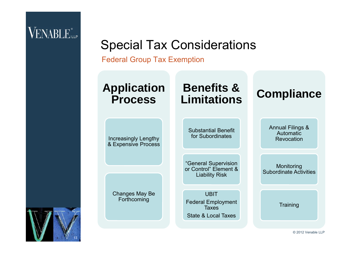#### Special Tax Considerations

Federal Group Tax Exemption



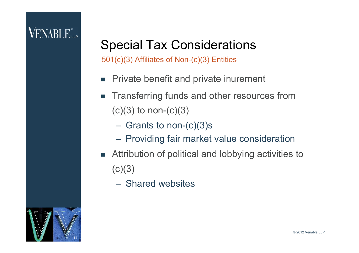# **VENABLE**

#### Special Tax Considerations

501(c)(3) Affiliates of Non-(c)(3) Entities

- **Private benefit and private inurement**
- **Transferring funds and other resources from**  $(c)(3)$  to non- $(c)(3)$ 
	- Grants to non-(c)(3)s
	- Providing fair market value consideration
- Attribution of political and lobbying activities to  $(c)(3)$ 
	- Shared websites

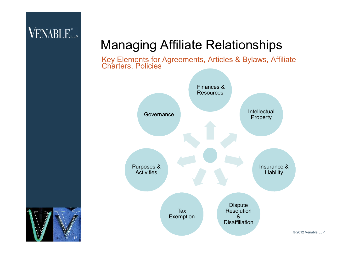#### Managing Affiliate Relationships



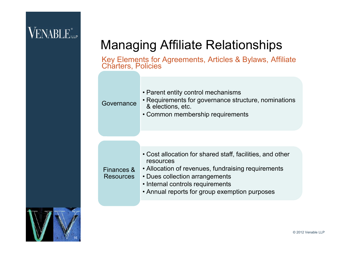# VENABLE<sup>®</sup>

#### Managing Affiliate Relationships

| Governance                     | • Parent entity control mechanisms<br>• Requirements for governance structure, nominations<br>& elections, etc.<br>• Common membership requirements                                                                                                 |  |  |
|--------------------------------|-----------------------------------------------------------------------------------------------------------------------------------------------------------------------------------------------------------------------------------------------------|--|--|
|                                |                                                                                                                                                                                                                                                     |  |  |
| Finances &<br><b>Resources</b> | • Cost allocation for shared staff, facilities, and other<br>resources<br>• Allocation of revenues, fundraising requirements<br>• Dues collection arrangements<br>• Internal controls requirements<br>• Annual reports for group exemption purposes |  |  |
|                                |                                                                                                                                                                                                                                                     |  |  |

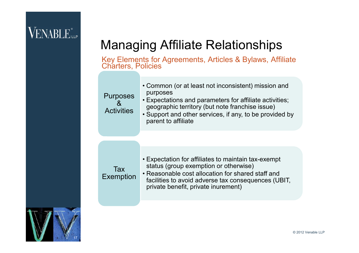# **VENABLE** <sub>LLP</sub>

#### Managing Affiliate Relationships



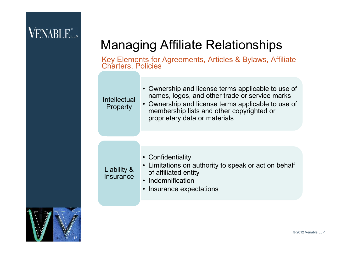# VENABLE<sup>®</sup>

#### Managing Affiliate Relationships

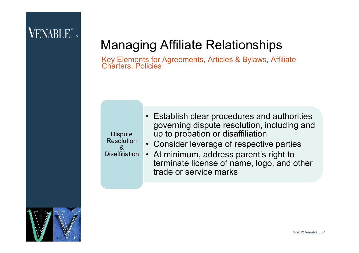#### Managing Affiliate Relationships



- Establish clear procedures and authorities governing dispute resolution, including and up to probation or disaffiliation
- Consider leverage of respective parties
- At minimum, address parent's right to terminate license of name, logo, and other trade or service marks

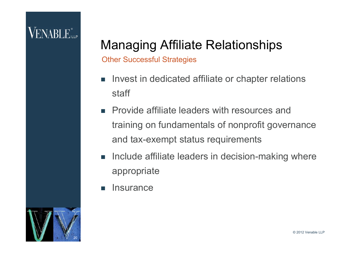# **VENABLE**

#### Managing Affiliate Relationships

Other Successful Strategies

- **Invest in dedicated affiliate or chapter relations** staff
- **Provide affiliate leaders with resources and** training on fundamentals of nonprofit governance and tax-exempt status requirements
- **Include affiliate leaders in decision-making where** appropriate
- **Insurance**